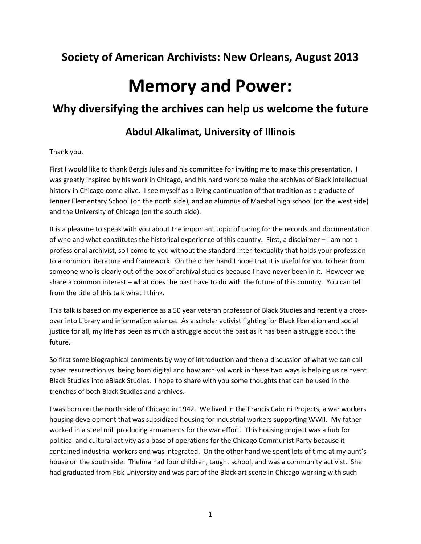# **Society of American Archivists: New Orleans, August 2013**

# **Memory and Power:**

## **Why diversifying the archives can help us welcome the future**

## **Abdul Alkalimat, University of Illinois**

Thank you.

First I would like to thank Bergis Jules and his committee for inviting me to make this presentation. I was greatly inspired by his work in Chicago, and his hard work to make the archives of Black intellectual history in Chicago come alive. I see myself as a living continuation of that tradition as a graduate of Jenner Elementary School (on the north side), and an alumnus of Marshal high school (on the west side) and the University of Chicago (on the south side).

It is a pleasure to speak with you about the important topic of caring for the records and documentation of who and what constitutes the historical experience of this country. First, a disclaimer – I am not a professional archivist, so I come to you without the standard inter-textuality that holds your profession to a common literature and framework. On the other hand I hope that it is useful for you to hear from someone who is clearly out of the box of archival studies because I have never been in it. However we share a common interest – what does the past have to do with the future of this country. You can tell from the title of this talk what I think.

This talk is based on my experience as a 50 year veteran professor of Black Studies and recently a crossover into Library and information science. As a scholar activist fighting for Black liberation and social justice for all, my life has been as much a struggle about the past as it has been a struggle about the future.

So first some biographical comments by way of introduction and then a discussion of what we can call cyber resurrection vs. being born digital and how archival work in these two ways is helping us reinvent Black Studies into eBlack Studies. I hope to share with you some thoughts that can be used in the trenches of both Black Studies and archives.

I was born on the north side of Chicago in 1942. We lived in the Francis Cabrini Projects, a war workers housing development that was subsidized housing for industrial workers supporting WWII. My father worked in a steel mill producing armaments for the war effort. This housing project was a hub for political and cultural activity as a base of operations for the Chicago Communist Party because it contained industrial workers and was integrated. On the other hand we spent lots of time at my aunt's house on the south side. Thelma had four children, taught school, and was a community activist. She had graduated from Fisk University and was part of the Black art scene in Chicago working with such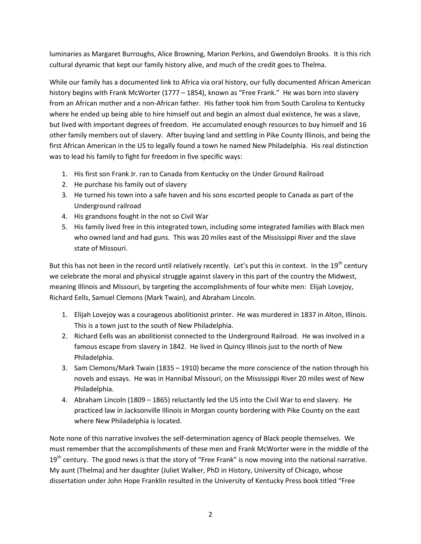luminaries as Margaret Burroughs, Alice Browning, Marion Perkins, and Gwendolyn Brooks. It is this rich cultural dynamic that kept our family history alive, and much of the credit goes to Thelma.

While our family has a documented link to Africa via oral history, our fully documented African American history begins with Frank McWorter (1777 – 1854), known as "Free Frank." He was born into slavery from an African mother and a non-African father. His father took him from South Carolina to Kentucky where he ended up being able to hire himself out and begin an almost dual existence, he was a slave, but lived with important degrees of freedom. He accumulated enough resources to buy himself and 16 other family members out of slavery. After buying land and settling in Pike County Illinois, and being the first African American in the US to legally found a town he named New Philadelphia. His real distinction was to lead his family to fight for freedom in five specific ways:

- 1. His first son Frank Jr. ran to Canada from Kentucky on the Under Ground Railroad
- 2. He purchase his family out of slavery
- 3. He turned his town into a safe haven and his sons escorted people to Canada as part of the Underground railroad
- 4. His grandsons fought in the not so Civil War
- 5. His family lived free in this integrated town, including some integrated families with Black men who owned land and had guns. This was 20 miles east of the Mississippi River and the slave state of Missouri.

But this has not been in the record until relatively recently. Let's put this in context. In the 19<sup>th</sup> century we celebrate the moral and physical struggle against slavery in this part of the country the Midwest, meaning Illinois and Missouri, by targeting the accomplishments of four white men: Elijah Lovejoy, Richard Eells, Samuel Clemons (Mark Twain), and Abraham Lincoln.

- 1. Elijah Lovejoy was a courageous abolitionist printer. He was murdered in 1837 in Alton, Illinois. This is a town just to the south of New Philadelphia.
- 2. Richard Eells was an abolitionist connected to the Underground Railroad. He was involved in a famous escape from slavery in 1842. He lived in Quincy Illinois just to the north of New Philadelphia.
- 3. Sam Clemons/Mark Twain (1835 1910) became the more conscience of the nation through his novels and essays. He was in Hannibal Missouri, on the Mississippi River 20 miles west of New Philadelphia.
- 4. Abraham Lincoln (1809 1865) reluctantly led the US into the Civil War to end slavery. He practiced law in Jacksonville Illinois in Morgan county bordering with Pike County on the east where New Philadelphia is located.

Note none of this narrative involves the self-determination agency of Black people themselves. We must remember that the accomplishments of these men and Frank McWorter were in the middle of the  $19<sup>th</sup>$  century. The good news is that the story of "Free Frank" is now moving into the national narrative. My aunt (Thelma) and her daughter (Juliet Walker, PhD in History, University of Chicago, whose dissertation under John Hope Franklin resulted in the University of Kentucky Press book titled "Free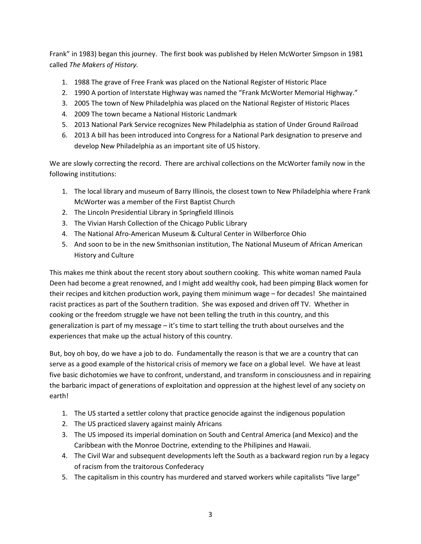Frank" in 1983) began this journey. The first book was published by Helen McWorter Simpson in 1981 called *The Makers of History.*

- 1. 1988 The grave of Free Frank was placed on the National Register of Historic Place
- 2. 1990 A portion of Interstate Highway was named the "Frank McWorter Memorial Highway."
- 3. 2005 The town of New Philadelphia was placed on the National Register of Historic Places
- 4. 2009 The town became a National Historic Landmark
- 5. 2013 National Park Service recognizes New Philadelphia as station of Under Ground Railroad
- 6. 2013 A bill has been introduced into Congress for a National Park designation to preserve and develop New Philadelphia as an important site of US history.

We are slowly correcting the record. There are archival collections on the McWorter family now in the following institutions:

- 1. The local library and museum of Barry Illinois, the closest town to New Philadelphia where Frank McWorter was a member of the First Baptist Church
- 2. The Lincoln Presidential Library in Springfield Illinois
- 3. The Vivian Harsh Collection of the Chicago Public Library
- 4. The National Afro-American Museum & Cultural Center in Wilberforce Ohio
- 5. And soon to be in the new Smithsonian institution, The National Museum of African American History and Culture

This makes me think about the recent story about southern cooking. This white woman named Paula Deen had become a great renowned, and I might add wealthy cook, had been pimping Black women for their recipes and kitchen production work, paying them minimum wage – for decades! She maintained racist practices as part of the Southern tradition. She was exposed and driven off TV. Whether in cooking or the freedom struggle we have not been telling the truth in this country, and this generalization is part of my message – it's time to start telling the truth about ourselves and the experiences that make up the actual history of this country.

But, boy oh boy, do we have a job to do. Fundamentally the reason is that we are a country that can serve as a good example of the historical crisis of memory we face on a global level. We have at least five basic dichotomies we have to confront, understand, and transform in consciousness and in repairing the barbaric impact of generations of exploitation and oppression at the highest level of any society on earth!

- 1. The US started a settler colony that practice genocide against the indigenous population
- 2. The US practiced slavery against mainly Africans
- 3. The US imposed its imperial domination on South and Central America (and Mexico) and the Caribbean with the Monroe Doctrine, extending to the Philipines and Hawaii.
- 4. The Civil War and subsequent developments left the South as a backward region run by a legacy of racism from the traitorous Confederacy
- 5. The capitalism in this country has murdered and starved workers while capitalists "live large"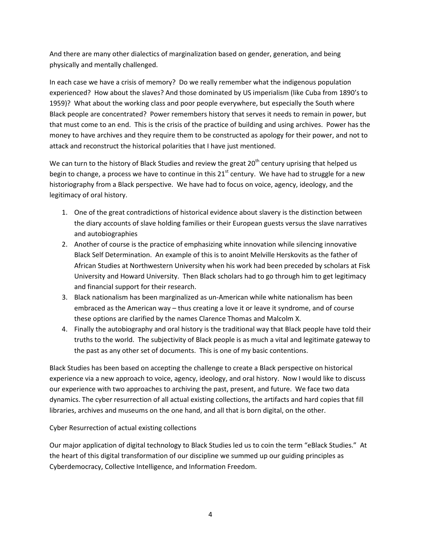And there are many other dialectics of marginalization based on gender, generation, and being physically and mentally challenged.

In each case we have a crisis of memory? Do we really remember what the indigenous population experienced? How about the slaves? And those dominated by US imperialism (like Cuba from 1890's to 1959)? What about the working class and poor people everywhere, but especially the South where Black people are concentrated? Power remembers history that serves it needs to remain in power, but that must come to an end. This is the crisis of the practice of building and using archives. Power has the money to have archives and they require them to be constructed as apology for their power, and not to attack and reconstruct the historical polarities that I have just mentioned.

We can turn to the history of Black Studies and review the great  $20<sup>th</sup>$  century uprising that helped us begin to change, a process we have to continue in this  $21<sup>st</sup>$  century. We have had to struggle for a new historiography from a Black perspective. We have had to focus on voice, agency, ideology, and the legitimacy of oral history.

- 1. One of the great contradictions of historical evidence about slavery is the distinction between the diary accounts of slave holding families or their European guests versus the slave narratives and autobiographies
- 2. Another of course is the practice of emphasizing white innovation while silencing innovative Black Self Determination. An example of this is to anoint Melville Herskovits as the father of African Studies at Northwestern University when his work had been preceded by scholars at Fisk University and Howard University. Then Black scholars had to go through him to get legitimacy and financial support for their research.
- 3. Black nationalism has been marginalized as un-American while white nationalism has been embraced as the American way – thus creating a love it or leave it syndrome, and of course these options are clarified by the names Clarence Thomas and Malcolm X.
- 4. Finally the autobiography and oral history is the traditional way that Black people have told their truths to the world. The subjectivity of Black people is as much a vital and legitimate gateway to the past as any other set of documents. This is one of my basic contentions.

Black Studies has been based on accepting the challenge to create a Black perspective on historical experience via a new approach to voice, agency, ideology, and oral history. Now I would like to discuss our experience with two approaches to archiving the past, present, and future. We face two data dynamics. The cyber resurrection of all actual existing collections, the artifacts and hard copies that fill libraries, archives and museums on the one hand, and all that is born digital, on the other.

Cyber Resurrection of actual existing collections

Our major application of digital technology to Black Studies led us to coin the term "eBlack Studies." At the heart of this digital transformation of our discipline we summed up our guiding principles as Cyberdemocracy, Collective Intelligence, and Information Freedom.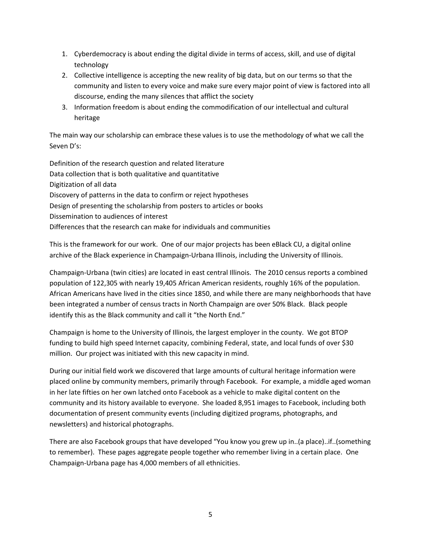- 1. Cyberdemocracy is about ending the digital divide in terms of access, skill, and use of digital technology
- 2. Collective intelligence is accepting the new reality of big data, but on our terms so that the community and listen to every voice and make sure every major point of view is factored into all discourse, ending the many silences that afflict the society
- 3. Information freedom is about ending the commodification of our intellectual and cultural heritage

The main way our scholarship can embrace these values is to use the methodology of what we call the Seven D's:

Definition of the research question and related literature Data collection that is both qualitative and quantitative Digitization of all data Discovery of patterns in the data to confirm or reject hypotheses Design of presenting the scholarship from posters to articles or books Dissemination to audiences of interest Differences that the research can make for individuals and communities

This is the framework for our work. One of our major projects has been eBlack CU, a digital online archive of the Black experience in Champaign-Urbana Illinois, including the University of Illinois.

Champaign-Urbana (twin cities) are located in east central Illinois. The 2010 census reports a combined population of 122,305 with nearly 19,405 African American residents, roughly 16% of the population. African Americans have lived in the cities since 1850, and while there are many neighborhoods that have been integrated a number of census tracts in North Champaign are over 50% Black. Black people identify this as the Black community and call it "the North End."

Champaign is home to the University of Illinois, the largest employer in the county. We got BTOP funding to build high speed Internet capacity, combining Federal, state, and local funds of over \$30 million. Our project was initiated with this new capacity in mind.

During our initial field work we discovered that large amounts of cultural heritage information were placed online by community members, primarily through Facebook. For example, a middle aged woman in her late fifties on her own latched onto Facebook as a vehicle to make digital content on the community and its history available to everyone. She loaded 8,951 images to Facebook, including both documentation of present community events (including digitized programs, photographs, and newsletters) and historical photographs.

There are also Facebook groups that have developed "You know you grew up in..(a place)..if..(something to remember). These pages aggregate people together who remember living in a certain place. One Champaign-Urbana page has 4,000 members of all ethnicities.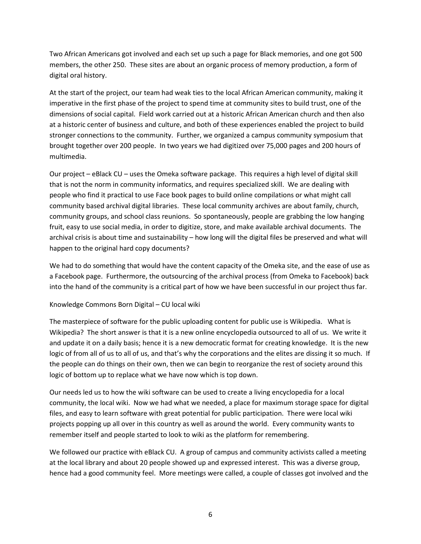Two African Americans got involved and each set up such a page for Black memories, and one got 500 members, the other 250. These sites are about an organic process of memory production, a form of digital oral history.

At the start of the project, our team had weak ties to the local African American community, making it imperative in the first phase of the project to spend time at community sites to build trust, one of the dimensions of social capital. Field work carried out at a historic African American church and then also at a historic center of business and culture, and both of these experiences enabled the project to build stronger connections to the community. Further, we organized a campus community symposium that brought together over 200 people. In two years we had digitized over 75,000 pages and 200 hours of multimedia.

Our project – eBlack CU – uses the Omeka software package. This requires a high level of digital skill that is not the norm in community informatics, and requires specialized skill. We are dealing with people who find it practical to use Face book pages to build online compilations or what might call community based archival digital libraries. These local community archives are about family, church, community groups, and school class reunions. So spontaneously, people are grabbing the low hanging fruit, easy to use social media, in order to digitize, store, and make available archival documents. The archival crisis is about time and sustainability – how long will the digital files be preserved and what will happen to the original hard copy documents?

We had to do something that would have the content capacity of the Omeka site, and the ease of use as a Facebook page. Furthermore, the outsourcing of the archival process (from Omeka to Facebook) back into the hand of the community is a critical part of how we have been successful in our project thus far.

#### Knowledge Commons Born Digital – CU local wiki

The masterpiece of software for the public uploading content for public use is Wikipedia. What is Wikipedia? The short answer is that it is a new online encyclopedia outsourced to all of us. We write it and update it on a daily basis; hence it is a new democratic format for creating knowledge. It is the new logic of from all of us to all of us, and that's why the corporations and the elites are dissing it so much. If the people can do things on their own, then we can begin to reorganize the rest of society around this logic of bottom up to replace what we have now which is top down.

Our needs led us to how the wiki software can be used to create a living encyclopedia for a local community, the local wiki. Now we had what we needed, a place for maximum storage space for digital files, and easy to learn software with great potential for public participation. There were local wiki projects popping up all over in this country as well as around the world. Every community wants to remember itself and people started to look to wiki as the platform for remembering.

We followed our practice with eBlack CU. A group of campus and community activists called a meeting at the local library and about 20 people showed up and expressed interest. This was a diverse group, hence had a good community feel. More meetings were called, a couple of classes got involved and the